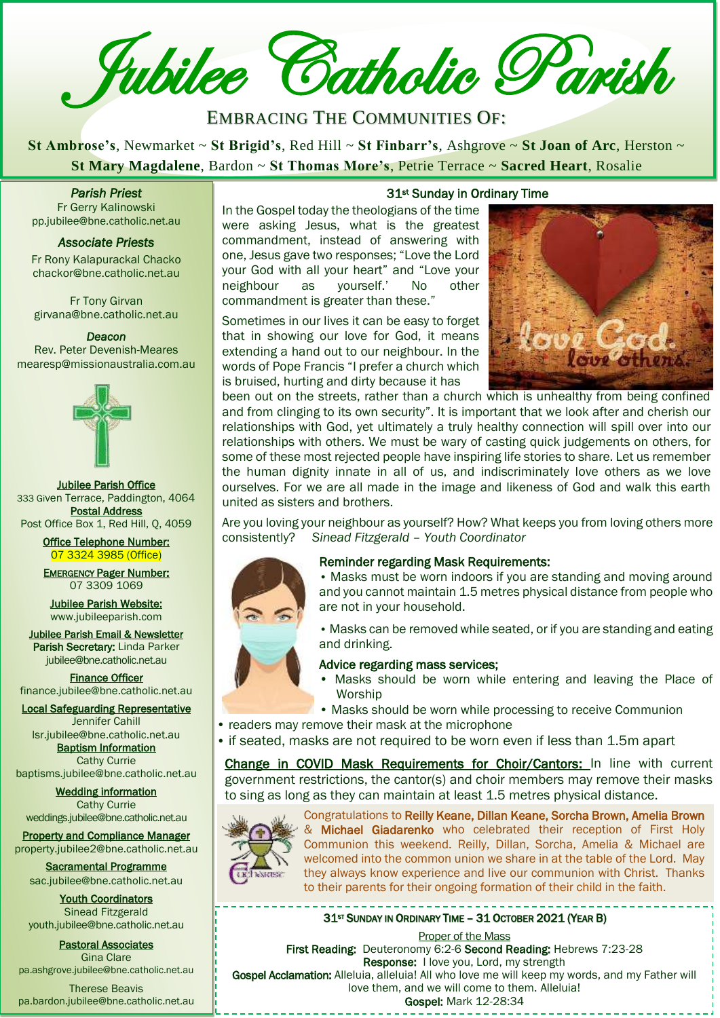**Z** Jubilee Catholic Parish

# EMBRACING THE COMMUNITIES OF:

**St Ambrose's**, Newmarket ~ **St Brigid's**, Red Hill ~ **St Finbarr's**, Ashgrove ~ **St Joan of Arc**, Herston ~ **St Mary Magdalene**, Bardon ~ **St Thomas More's**, Petrie Terrace ~ **Sacred Heart**, Rosalie

*Parish Priest*  Fr Gerry Kalinowski

pp.jubilee@bne.catholic.net.au

*Associate Priests* 

Fr Rony Kalapurackal Chacko chackor@bne.catholic.net.au

Fr Tony Girvan girvana@bne.catholic.net.au

#### *Deacon*

Rev. Peter Devenish-Meares mearesp@missionaustralia.com.au



Jubilee Parish Office 333 Given Terrace, Paddington, 4064 Postal Address Post Office Box 1, Red Hill, Q, 4059

> Office Telephone Number: 07 3324 3985 (Office)

EMERGENCY Pager Number: 07 3309 1069

Jubilee Parish Website: [www.jubileeparish.com](http://www.jubileeparish.com/)

Jubilee Parish Email & Newsletter Parish Secretary: Linda Parker [jubilee@bne.catholic.net.au](mailto:jubilee@bne.catholic.net.au)

Finance Officer [finance.jubilee@bne.catholic.net.au](mailto:finance.jubilee@bne.catholic.net.au)

Local Safeguarding Representative Jennifer Cahill

[lsr.jubilee@bne.catholic.net.au](mailto:lsr.jubilee@bne.catholic.net.au) **Baptism Information** 

Cathy Currie [baptisms.jubilee@bne.catholic.net.au](mailto:baptisms.jubilee@bne.catholic.net.au)

Wedding information Cathy Currie [weddings.jubilee@bne.catholic.net.au](mailto:weddings.jubilee@bne.catholic.net.au)

Property and Compliance Manager property.jubilee2@bne.catholic.net.au

Sacramental Programme [sac.jubilee@bne.catholic.net.au](mailto:sac.jubilee@bne.catholic.net.au)

Youth Coordinators Sinead Fitzgerald [youth.jubilee@bne.catholic.net.au](mailto:youth.jubilee@bne.catholic.net.au)

Pastoral Associates Gina Clare [pa.ashgrove.jubilee@bne.catholic.net.au](mailto:pa.ashgrove.jubilee@bne.catholic.net.au)

Therese Beavis pa.bardon.jubilee@bne.catholic.net.au

## 31<sup>st</sup> Sunday in Ordinary Time

In the Gospel today the theologians of the time were asking Jesus, what is the greatest commandment, instead of answering with one, Jesus gave two responses; "Love the Lord your God with all your heart" and "Love your neighbour as yourself.' No other commandment is greater than these." **Parish Priest**<br> **[Cath](mailto:pp.jubilee@bne.catholic.net.au)ary Magazine, Bardon Bet From as Prior** S, Petre Terrace Baered Heart, Rosance<br>
Fr Gerry Kalinowski<br>
pp.jubilee@bne.catholic.net.au<br> **Cathary Cathary Secure 2014**<br>
In the Gospel today the theologians

> Sometimes in our lives it can be easy to forget that in showing our love for God, it means extending a hand out to our neighbour. In the words of Pope Francis "I prefer a church which is bruised, hurting and dirty because it has



been out on the streets, rather than a church which is unhealthy from being confined and from clinging to its own security". It is important that we look after and cherish our relationships with God, yet ultimately a truly healthy connection will spill over into our relationships with others. We must be wary of casting quick judgements on others, for some of these most rejected people have inspiring life stories to share. Let us remember the human dignity innate in all of us, and indiscriminately love others as we love ourselves. For we are all made in the image and likeness of God and walk this earth united as sisters and brothers.

Are you loving your neighbour as yourself? How? What keeps you from loving others more consistently? *Sinead Fitzgerald – Youth Coordinator*



## Reminder regarding Mask Requirements:

• Masks must be worn indoors if you are standing and moving around and you cannot maintain 1.5 metres physical distance from people who are not in your household.

 • Masks can be removed while seated, or if you are standing and eating and drinking.

## Advice regarding mass services;

- l. • Masks should be worn while entering and leaving the Place of Worship
- Masks should be worn while processing to receive Communion
- readers may remove their mask at the microphone
- if seated, masks are not required to be worn even if less than 1.5m apart

Change in COVID Mask Requirements for Choir/Cantors: In line with current government restrictions, the cantor(s) and choir members may remove their masks to sing as long as they can maintain at least 1.5 metres physical distance.



.

Congratulations to Reilly Keane, Dillan Keane, Sorcha Brown, Amelia Brown & Michael Giadarenko who celebrated their reception of First Holy Communion this weekend. Reilly, Dillan, Sorcha, Amelia & Michael are welcomed into the common union we share in at the table of the Lord. May they always know experience and live our communion with Christ. Thanks to their parents for their ongoing formation of their child in the faith.

## 31<sup>ST</sup> SUNDAY IN ORDINARY TIME - 31 OCTOBER 2021 (YEAR B)

Proper of the Mass First Reading: Deuteronomy 6:2-6 Second Reading: Hebrews 7:23-28 Response: I love you, Lord, my strength Gospel Acclamation: Alleluia, alleluia! All who love me will keep my words, and my Father will love them, and we will come to them. Alleluia! Gospel: Mark 12-28:34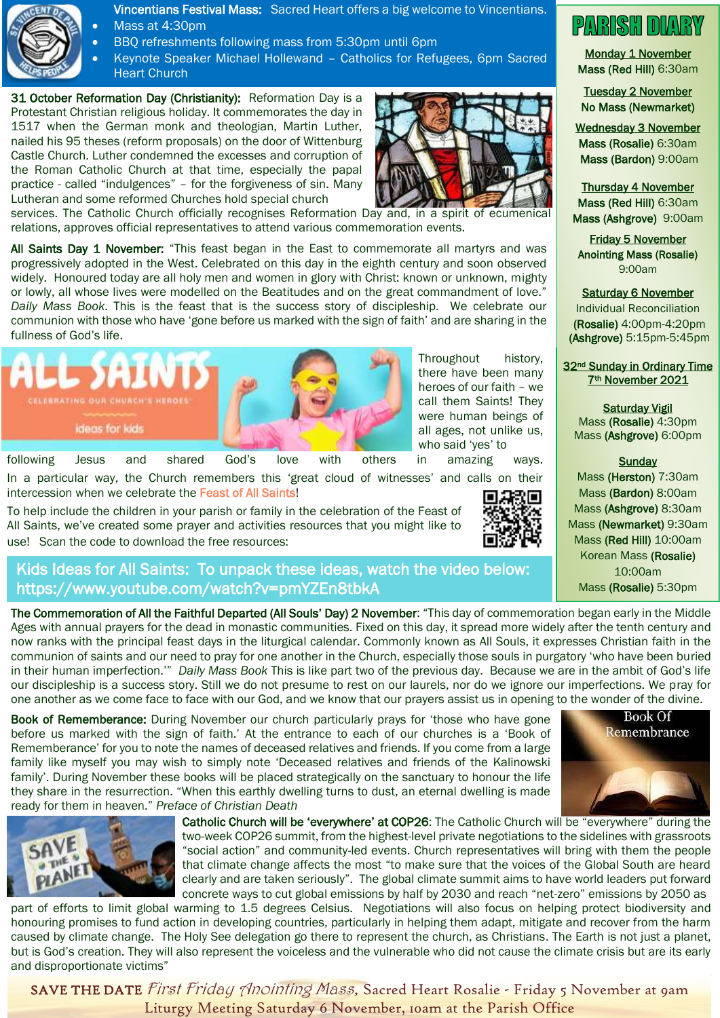

Vincentians Festival Mass: Sacred Heart offers a big welcome to Vincentians.

- Mass at 4:30pm
- BBQ refreshments following mass from 5:30pm until 6pm
- Keynote Speaker Michael Hollewand Catholics for Refugees, 6pm Sacred Heart Church

31 October Reformation Day (Christianity): Reformation Day is a Protestant Christian religious holiday. It commemorates the day in 1517 when the German monk and theologian, Martin Luther, nailed his 95 theses (reform proposals) on the door of Wittenburg Castle Church. Luther condemned the excesses and corruption of the Roman Catholic Church at that time, especially the papal practice - called "indulgences" – for the forgiveness of sin. Many Lutheran and some reformed Churches hold special church



services. The Catholic Church officially recognises Reformation Day and, in a spirit of ecumenical relations, approves official representatives to attend various commemoration events.

All Saints Day 1 November: "This feast began in the East to commemorate all martyrs and was progressively adopted in the West. Celebrated on this day in the eighth century and soon observed widely. Honoured today are all holy men and women in glory with Christ: known or unknown, mighty or lowly, all whose lives were modelled on the Beatitudes and on the great commandment of love." *Daily Mass Book*. This is the feast that is the success story of discipleship. We celebrate our communion with those who have 'gone before us marked with the sign of faith' and are sharing in the fullness of God's life.



Throughout history, there have been many heroes of our faith – we call them Saints! They were human beings of all ages, not unlike us, who said 'yes' to

In a particular way, the Church remembers this 'great cloud of witnesses' and calls on their intercession when we celebrate the Feast of All Saints!

To help include the children in your parish or family in the celebration of the Feast of All Saints, we've created some prayer and activities resources that you might like to use! Scan the code to download the free resources:



## Kids Ideas for All Saints: To unpack these ideas, watch the video below: https://www.youtube.com/watch?v=pmYZEn8tbkA

The Commemoration of All the Faithful Departed (All Souls' Day) 2 November: "This day of commemoration began early in the Middle Ages with annual prayers for the dead in monastic communities. Fixed on this day, it spread more widely after the tenth century and now ranks with the principal feast days in the liturgical calendar. Commonly known as All Souls, it expresses Christian faith in the communion of saints and our need to pray for one another in the Church, especially those souls in purgatory 'who have been buried in their human imperfection.'" *Daily Mass Book* This is like part two of the previous day. Because we are in the ambit of God's life our discipleship is a success story. Still we do not presume to rest on our laurels, nor do we ignore our imperfections. We pray for one another as we come face to face with our God, and we know that our prayers assist us in opening to the wonder of the divine.

Book of Rememberance: During November our church particularly prays for 'those who have gone before us marked with the sign of faith.' At the entrance to each of our churches is a 'Book of Rememberance' for you to note the names of deceased relatives and friends. If you come from a large family like myself you may wish to simply note 'Deceased relatives and friends of the Kalinowski family'. During November these books will be placed strategically on the sanctuary to honour the life they share in the resurrection. "When this earthly dwelling turns to dust, an eternal dwelling is made ready for them in heaven." *Preface of Christian Death*



part of efforts to limit global warming to 1.5 degrees Celsius. Negotiations will also focus on helping protect biodiversity and honouring promises to fund action in developing countries, particularly in helping them adapt, mitigate and recover from the harm caused by climate change. The Holy See delegation go there to represent the church, as Christians. The Earth is not just a planet, but is God's creation. They will also represent the voiceless and the vulnerable who did not cause the climate crisis but are its early and disproportionate victims"

**PARISH DIARY** 

Monday 1 November Mass (Red Hill) 6:30am

Tuesday 2 November No Mass (Newmarket)

Wednesday 3 November Mass (Rosalie) 6:30am Mass (Bardon) 9:00am

Thursday 4 November Mass (Red Hill) 6:30am Mass (Ashgrove) 9:00am

Friday 5 November Anointing Mass (Rosalie) 9:00am

Saturday 6 November

Individual Reconciliation (Rosalie) 4:00pm-4:20pm (Ashgrove) 5:15pm-5:45pm

32<sup>nd</sup> Sunday in Ordinary Time 7th November 2021

Saturday Vigil Mass (Rosalie) 4:30pm Mass (Ashgrove) 6:00pm

## **Sunday**

Mass (Herston) 7:30am Mass (Bardon) 8:00am Mass (Ashgrove) 8:30am Mass (Newmarket) 9:30am Mass (Red Hill) 10:00am Korean Mass (Rosalie) 10:00am Mass (Rosalie) 5:30pm



SAVE THE DATE *First Friday Anointing Mass*, Sacred Heart Rosalie - Friday 5 November at 9am Liturgy Meeting Saturday 6 November, 10am at the Parish Office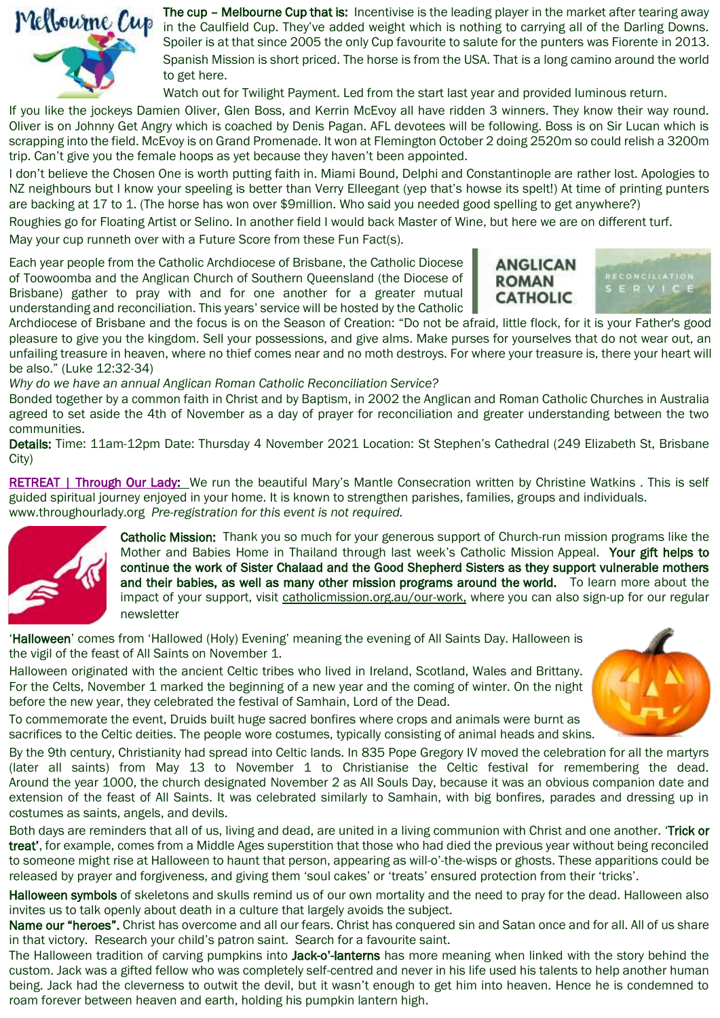

The cup – Melbourne Cup that is: Incentivise is the leading player in the market after tearing away in the Caulfield Cup. They've added weight which is nothing to carrying all of the Darling Downs. Spoiler is at that since 2005 the only Cup favourite to salute for the punters was Fiorente in 2013. Spanish Mission is short priced. The horse is from the USA. That is a long camino around the world to get here.

Watch out for Twilight Payment. Led from the start last year and provided luminous return.

If you like the jockeys Damien Oliver, Glen Boss, and Kerrin McEvoy all have ridden 3 winners. They know their way round. Oliver is on Johnny Get Angry which is coached by Denis Pagan. AFL devotees will be following. Boss is on Sir Lucan which is scrapping into the field. McEvoy is on Grand Promenade. It won at Flemington October 2 doing 2520m so could relish a 3200m trip. Can't give you the female hoops as yet because they haven't been appointed.

I don't believe the Chosen One is worth putting faith in. Miami Bound, Delphi and Constantinople are rather lost. Apologies to NZ neighbours but I know your speeling is better than Verry Elleegant (yep that's howse its spelt!) At time of printing punters are backing at 17 to 1. (The horse has won over \$9million. Who said you needed good spelling to get anywhere?)

Roughies go for Floating Artist or Selino. In another field I would back Master of Wine, but here we are on different turf. May your cup runneth over with a Future Score from these Fun Fact(s).

Each year people from the Catholic Archdiocese of Brisbane, the Catholic Diocese of Toowoomba and the Anglican Church of Southern Queensland (the Diocese of Brisbane) gather to pray with and for one another for a greater mutual understanding and reconciliation. This years' service will be hosted by the Catholic





Archdiocese of Brisbane and the focus is on the Season of Creation: "Do not be afraid, little flock, for it is your Father's good pleasure to give you the kingdom. Sell your possessions, and give alms. Make purses for yourselves that do not wear out, an unfailing treasure in heaven, where no thief comes near and no moth destroys. For where your treasure is, there your heart will be also." (Luke 12:32-34)

*Why do we have an annual Anglican Roman Catholic Reconciliation Service?* 

Bonded together by a common faith in Christ and by Baptism, in 2002 the Anglican and Roman Catholic Churches in Australia agreed to set aside the 4th of November as a day of prayer for reconciliation and greater understanding between the two communities.

Details: Time: 11am-12pm Date: Thursday 4 November 2021 Location: St Stephen's Cathedral (249 Elizabeth St, Brisbane City)

[RETREAT | Through Our Lady:](https://protect-au.mimecast.com/s/tvtDCnx1V8I7R2k9H95zlq?domain=throughourlady.org) We run the beautiful Mary's Mantle Consecration written by Christine Watkins. This is self guided spiritual journey enjoyed in your home. It is known to strengthen parishes, families, groups and individuals. [www.throughourlady.org](https://protect-au.mimecast.com/s/-p8vCp8167InRW74TYAB9b?domain=throughourlady.org) *Pre-registration for this event is not required.*



Catholic Mission: Thank you so much for your generous support of Church-run mission programs like the Mother and Babies Home in Thailand through last week's Catholic Mission Appeal. Your gift helps to continue the work of Sister Chalaad and the Good Shepherd Sisters as they support vulnerable mothers and their babies, as well as many other mission programs around the world. To learn more about the impact of your support, visit catholicmission.org.au/our-work, where you can also sign-up for our regular newsletter

'Halloween' comes from 'Hallowed (Holy) Evening' meaning the evening of All Saints Day. Halloween is the vigil of the feast of All Saints on November 1.

Halloween originated with the ancient Celtic tribes who lived in Ireland, Scotland, Wales and Brittany. For the Celts, November 1 marked the beginning of a new year and the coming of winter. On the night before the new year, they celebrated the festival of Samhain, Lord of the Dead.

To commemorate the event, Druids built huge sacred bonfires where crops and animals were burnt as sacrifices to the Celtic deities. The people wore costumes, typically consisting of animal heads and skins.

By the 9th century, Christianity had spread into Celtic lands. In 835 Pope Gregory IV moved the celebration for all the martyrs (later all saints) from May 13 to November 1 to Christianise the Celtic festival for remembering the dead. Around the year 1000, the church designated November 2 as All Souls Day, because it was an obvious companion date and extension of the feast of All Saints. It was celebrated similarly to Samhain, with big bonfires, parades and dressing up in costumes as saints, angels, and devils.

Both days are reminders that all of us, living and dead, are united in a living communion with Christ and one another. 'Trick or treat', for example, comes from a Middle Ages superstition that those who had died the previous year without being reconciled to someone might rise at Halloween to haunt that person, appearing as will-o'-the-wisps or ghosts. These apparitions could be released by prayer and forgiveness, and giving them 'soul cakes' or 'treats' ensured protection from their 'tricks'.

Halloween symbols of skeletons and skulls remind us of our own mortality and the need to pray for the dead. Halloween also invites us to talk openly about death in a culture that largely avoids the subject.

Name our "heroes". Christ has overcome and all our fears. Christ has conquered sin and Satan once and for all. All of us share in that victory. Research your child's patron saint. Search for a favourite saint.

The Halloween tradition of carving pumpkins into Jack-o'-lanterns has more meaning when linked with the story behind the custom. Jack was a gifted fellow who was completely self-centred and never in his life used his talents to help another human being. Jack had the cleverness to outwit the devil, but it wasn't enough to get him into heaven. Hence he is condemned to roam forever between heaven and earth, holding his pumpkin lantern high.